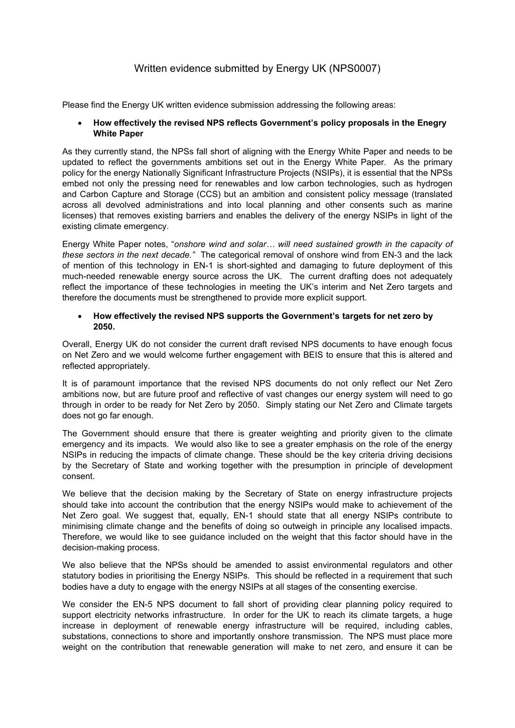# Written evidence submitted by Energy UK (NPS0007)

Please find the Energy UK written evidence submission addressing the following areas:

## **How effectively the revised NPS reflects Government's policy proposals in the Enegry White Paper**

As they currently stand, the NPSs fall short of aligning with the Energy White Paper and needs to be updated to reflect the governments ambitions set out in the Energy White Paper. As the primary policy for the energy Nationally Significant Infrastructure Projects (NSIPs), it is essential that the NPSs embed not only the pressing need for renewables and low carbon technologies, such as hydrogen and Carbon Capture and Storage (CCS) but an ambition and consistent policy message (translated across all devolved administrations and into local planning and other consents such as marine licenses) that removes existing barriers and enables the delivery of the energy NSIPs in light of the existing climate emergency.

Energy White Paper notes, "*onshore wind and solar… will need sustained growth in the capacity of these sectors in the next decade."* The categorical removal of onshore wind from EN-3 and the lack of mention of this technology in EN-1 is short-sighted and damaging to future deployment of this much-needed renewable energy source across the UK. The current drafting does not adequately reflect the importance of these technologies in meeting the UK's interim and Net Zero targets and therefore the documents must be strengthened to provide more explicit support.

## **How effectively the revised NPS supports the Government's targets for net zero by 2050.**

Overall, Energy UK do not consider the current draft revised NPS documents to have enough focus on Net Zero and we would welcome further engagement with BEIS to ensure that this is altered and reflected appropriately.

It is of paramount importance that the revised NPS documents do not only reflect our Net Zero ambitions now, but are future proof and reflective of vast changes our energy system will need to go through in order to be ready for Net Zero by 2050. Simply stating our Net Zero and Climate targets does not go far enough.

The Government should ensure that there is greater weighting and priority given to the climate emergency and its impacts. We would also like to see a greater emphasis on the role of the energy NSIPs in reducing the impacts of climate change. These should be the key criteria driving decisions by the Secretary of State and working together with the presumption in principle of development consent.

We believe that the decision making by the Secretary of State on energy infrastructure projects should take into account the contribution that the energy NSIPs would make to achievement of the Net Zero goal. We suggest that, equally, EN-1 should state that all energy NSIPs contribute to minimising climate change and the benefits of doing so outweigh in principle any localised impacts. Therefore, we would like to see guidance included on the weight that this factor should have in the decision-making process.

We also believe that the NPSs should be amended to assist environmental regulators and other statutory bodies in prioritising the Energy NSIPs. This should be reflected in a requirement that such bodies have a duty to engage with the energy NSIPs at all stages of the consenting exercise.

We consider the EN-5 NPS document to fall short of providing clear planning policy required to support electricity networks infrastructure. In order for the UK to reach its climate targets, a huge increase in deployment of renewable energy infrastructure will be required, including cables, substations, connections to shore and importantly onshore transmission. The NPS must place more weight on the contribution that renewable generation will make to net zero, and ensure it can be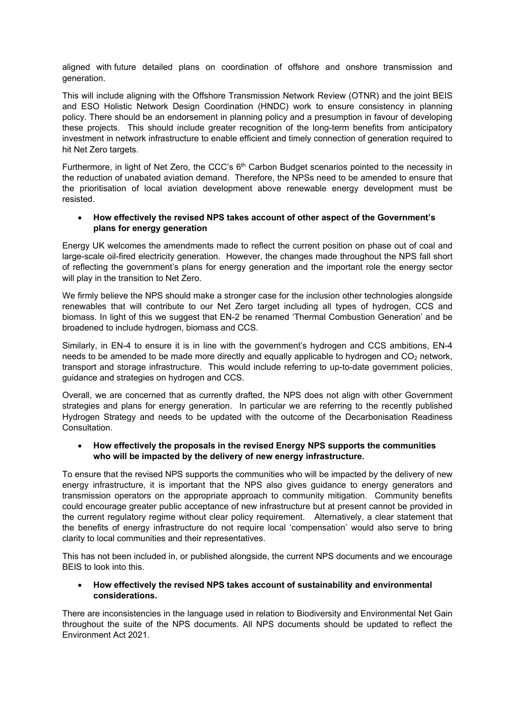aligned with future detailed plans on coordination of offshore and onshore transmission and generation.

This will include aligning with the Offshore Transmission Network Review (OTNR) and the joint BEIS and ESO Holistic Network Design Coordination (HNDC) work to ensure consistency in planning policy. There should be an endorsement in planning policy and a presumption in favour of developing these projects. This should include greater recognition of the long-term benefits from anticipatory investment in network infrastructure to enable efficient and timely connection of generation required to hit Net Zero targets.

Furthermore, in light of Net Zero, the CCC's  $6<sup>th</sup>$  Carbon Budget scenarios pointed to the necessity in the reduction of unabated aviation demand. Therefore, the NPSs need to be amended to ensure that the prioritisation of local aviation development above renewable energy development must be resisted.

## **How effectively the revised NPS takes account of other aspect of the Government's plans for energy generation**

Energy UK welcomes the amendments made to reflect the current position on phase out of coal and large-scale oil-fired electricity generation. However, the changes made throughout the NPS fall short of reflecting the government's plans for energy generation and the important role the energy sector will play in the transition to Net Zero.

We firmly believe the NPS should make a stronger case for the inclusion other technologies alongside renewables that will contribute to our Net Zero target including all types of hydrogen, CCS and biomass. In light of this we suggest that EN-2 be renamed 'Thermal Combustion Generation' and be broadened to include hydrogen, biomass and CCS.

Similarly, in EN-4 to ensure it is in line with the government's hydrogen and CCS ambitions, EN-4 needs to be amended to be made more directly and equally applicable to hydrogen and  $CO<sub>2</sub>$  network, transport and storage infrastructure. This would include referring to up-to-date government policies, guidance and strategies on hydrogen and CCS.

Overall, we are concerned that as currently drafted, the NPS does not align with other Government strategies and plans for energy generation. In particular we are referring to the recently published Hydrogen Strategy and needs to be updated with the outcome of the Decarbonisation Readiness Consultation.

## **How effectively the proposals in the revised Energy NPS supports the communities who will be impacted by the delivery of new energy infrastructure.**

To ensure that the revised NPS supports the communities who will be impacted by the delivery of new energy infrastructure, it is important that the NPS also gives guidance to energy generators and transmission operators on the appropriate approach to community mitigation. Community benefits could encourage greater public acceptance of new infrastructure but at present cannot be provided in the current regulatory regime without clear policy requirement. Alternatively, a clear statement that the benefits of energy infrastructure do not require local 'compensation' would also serve to bring clarity to local communities and their representatives.

This has not been included in, or published alongside, the current NPS documents and we encourage BEIS to look into this.

## **How effectively the revised NPS takes account of sustainability and environmental considerations.**

There are inconsistencies in the language used in relation to Biodiversity and Environmental Net Gain throughout the suite of the NPS documents. All NPS documents should be updated to reflect the Environment Act 2021.